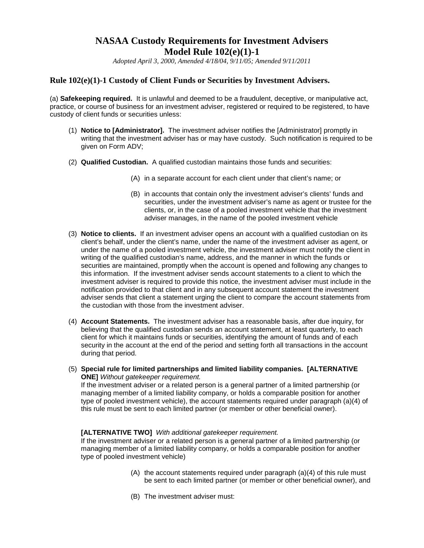# **NASAA Custody Requirements for Investment Advisers Model Rule 102(e)(1)-1**

*Adopted April 3, 2000, Amended 4/18/04, 9/11/05; Amended 9/11/2011*

# **Rule 102(e)(1)-1 Custody of Client Funds or Securities by Investment Advisers.**

(a) **Safekeeping required.** It is unlawful and deemed to be a fraudulent, deceptive, or manipulative act, practice, or course of business for an investment adviser, registered or required to be registered, to have custody of client funds or securities unless:

- (1) **Notice to [Administrator].** The investment adviser notifies the [Administrator] promptly in writing that the investment adviser has or may have custody. Such notification is required to be given on Form ADV;
- (2) **Qualified Custodian.** A qualified custodian maintains those funds and securities:
	- (A) in a separate account for each client under that client's name; or
	- (B) in accounts that contain only the investment adviser's clients' funds and securities, under the investment adviser's name as agent or trustee for the clients, or, in the case of a pooled investment vehicle that the investment adviser manages, in the name of the pooled investment vehicle
- (3) **Notice to clients.** If an investment adviser opens an account with a qualified custodian on its client's behalf, under the client's name, under the name of the investment adviser as agent, or under the name of a pooled investment vehicle, the investment adviser must notify the client in writing of the qualified custodian's name, address, and the manner in which the funds or securities are maintained, promptly when the account is opened and following any changes to this information. If the investment adviser sends account statements to a client to which the investment adviser is required to provide this notice, the investment adviser must include in the notification provided to that client and in any subsequent account statement the investment adviser sends that client a statement urging the client to compare the account statements from the custodian with those from the investment adviser.
- (4) **Account Statements.** The investment adviser has a reasonable basis, after due inquiry, for believing that the qualified custodian sends an account statement, at least quarterly, to each client for which it maintains funds or securities, identifying the amount of funds and of each security in the account at the end of the period and setting forth all transactions in the account during that period.
- (5) **Special rule for limited partnerships and limited liability companies. [ALTERNATIVE ONE]** *Without gatekeeper requirement.* If the investment adviser or a related person is a general partner of a limited partnership (or

managing member of a limited liability company, or holds a comparable position for another type of pooled investment vehicle), the account statements required under paragraph (a)(4) of this rule must be sent to each limited partner (or member or other beneficial owner).

#### **[ALTERNATIVE TWO]** *With additional gatekeeper requirement.*

If the investment adviser or a related person is a general partner of a limited partnership (or managing member of a limited liability company, or holds a comparable position for another type of pooled investment vehicle)

- (A) the account statements required under paragraph (a)(4) of this rule must be sent to each limited partner (or member or other beneficial owner), and
- (B) The investment adviser must: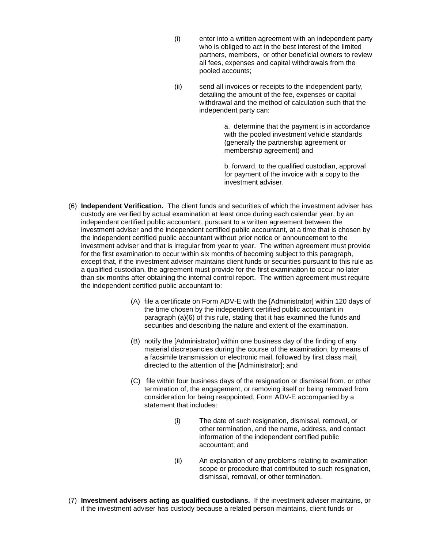- (i) enter into a written agreement with an independent party who is obliged to act in the best interest of the limited partners, members, or other beneficial owners to review all fees, expenses and capital withdrawals from the pooled accounts;
- (ii) send all invoices or receipts to the independent party, detailing the amount of the fee, expenses or capital withdrawal and the method of calculation such that the independent party can:

a. determine that the payment is in accordance with the pooled investment vehicle standards (generally the partnership agreement or membership agreement) and

b. forward, to the qualified custodian, approval for payment of the invoice with a copy to the investment adviser.

- (6) **Independent Verification.** The client funds and securities of which the investment adviser has custody are verified by actual examination at least once during each calendar year, by an independent certified public accountant, pursuant to a written agreement between the investment adviser and the independent certified public accountant, at a time that is chosen by the independent certified public accountant without prior notice or announcement to the investment adviser and that is irregular from year to year. The written agreement must provide for the first examination to occur within six months of becoming subject to this paragraph, except that, if the investment adviser maintains client funds or securities pursuant to this rule as a qualified custodian, the agreement must provide for the first examination to occur no later than six months after obtaining the internal control report. The written agreement must require the independent certified public accountant to:
	- (A) file a certificate on Form ADV-E with the [Administrator] within 120 days of the time chosen by the independent certified public accountant in paragraph (a)(6) of this rule, stating that it has examined the funds and securities and describing the nature and extent of the examination.
	- (B) notify the [Administrator] within one business day of the finding of any material discrepancies during the course of the examination, by means of a facsimile transmission or electronic mail, followed by first class mail, directed to the attention of the [Administrator]; and
	- (C) file within four business days of the resignation or dismissal from, or other termination of, the engagement, or removing itself or being removed from consideration for being reappointed, Form ADV-E accompanied by a statement that includes:
		- (i) The date of such resignation, dismissal, removal, or other termination, and the name, address, and contact information of the independent certified public accountant; and
		- (ii) An explanation of any problems relating to examination scope or procedure that contributed to such resignation, dismissal, removal, or other termination.
- (7) **Investment advisers acting as qualified custodians.** If the investment adviser maintains, or if the investment adviser has custody because a related person maintains, client funds or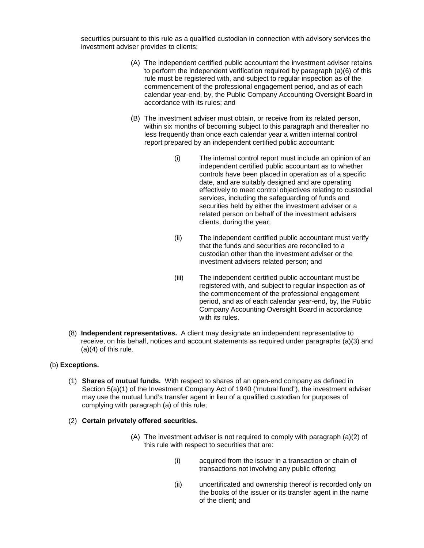securities pursuant to this rule as a qualified custodian in connection with advisory services the investment adviser provides to clients:

- (A) The independent certified public accountant the investment adviser retains to perform the independent verification required by paragraph (a)(6) of this rule must be registered with, and subject to regular inspection as of the commencement of the professional engagement period, and as of each calendar year-end, by, the Public Company Accounting Oversight Board in accordance with its rules; and
- (B) The investment adviser must obtain, or receive from its related person, within six months of becoming subject to this paragraph and thereafter no less frequently than once each calendar year a written internal control report prepared by an independent certified public accountant:
	- (i) The internal control report must include an opinion of an independent certified public accountant as to whether controls have been placed in operation as of a specific date, and are suitably designed and are operating effectively to meet control objectives relating to custodial services, including the safeguarding of funds and securities held by either the investment adviser or a related person on behalf of the investment advisers clients, during the year;
	- (ii) The independent certified public accountant must verify that the funds and securities are reconciled to a custodian other than the investment adviser or the investment advisers related person; and
	- (iii) The independent certified public accountant must be registered with, and subject to regular inspection as of the commencement of the professional engagement period, and as of each calendar year-end, by, the Public Company Accounting Oversight Board in accordance with its rules.
- (8) **Independent representatives.** A client may designate an independent representative to receive, on his behalf, notices and account statements as required under paragraphs (a)(3) and  $(a)(4)$  of this rule.

## (b) **Exceptions.**

- (1) **Shares of mutual funds.** With respect to shares of an open-end company as defined in Section 5(a)(1) of the Investment Company Act of 1940 ('mutual fund"), the investment adviser may use the mutual fund's transfer agent in lieu of a qualified custodian for purposes of complying with paragraph (a) of this rule;
- (2) **Certain privately offered securities**.
	- (A) The investment adviser is not required to comply with paragraph (a)(2) of this rule with respect to securities that are:
		- (i) acquired from the issuer in a transaction or chain of transactions not involving any public offering;
		- (ii) uncertificated and ownership thereof is recorded only on the books of the issuer or its transfer agent in the name of the client; and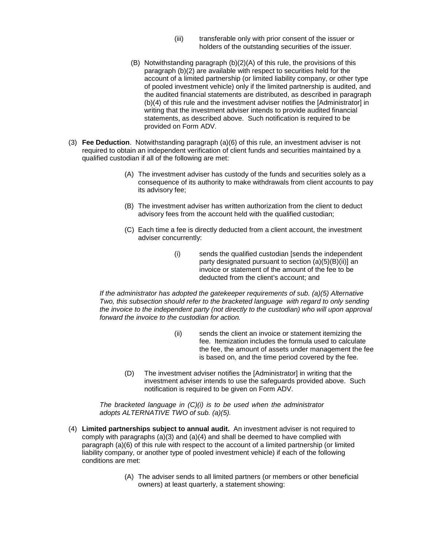- (iii) transferable only with prior consent of the issuer or holders of the outstanding securities of the issuer.
- (B) Notwithstanding paragraph (b)(2)(A) of this rule, the provisions of this paragraph (b)(2) are available with respect to securities held for the account of a limited partnership (or limited liability company, or other type of pooled investment vehicle) only if the limited partnership is audited, and the audited financial statements are distributed, as described in paragraph (b)(4) of this rule and the investment adviser notifies the [Administrator] in writing that the investment adviser intends to provide audited financial statements, as described above. Such notification is required to be provided on Form ADV.
- (3) **Fee Deduction**. Notwithstanding paragraph (a)(6) of this rule, an investment adviser is not required to obtain an independent verification of client funds and securities maintained by a qualified custodian if all of the following are met:
	- (A) The investment adviser has custody of the funds and securities solely as a consequence of its authority to make withdrawals from client accounts to pay its advisory fee;
	- (B) The investment adviser has written authorization from the client to deduct advisory fees from the account held with the qualified custodian;
	- (C) Each time a fee is directly deducted from a client account, the investment adviser concurrently:
		- (i) sends the qualified custodian [sends the independent party designated pursuant to section (a)(5)(B)(ii)] an invoice or statement of the amount of the fee to be deducted from the client's account; and

*If the administrator has adopted the gatekeeper requirements of sub. (a)(5) Alternative Two, this subsection should refer to the bracketed language with regard to only sending the invoice to the independent party (not directly to the custodian) who will upon approval forward the invoice to the custodian for action.* 

- (ii) sends the client an invoice or statement itemizing the fee. Itemization includes the formula used to calculate the fee, the amount of assets under management the fee is based on, and the time period covered by the fee.
- (D) The investment adviser notifies the [Administrator] in writing that the investment adviser intends to use the safeguards provided above. Such notification is required to be given on Form ADV.

*The bracketed language in (C)(i) is to be used when the administrator adopts ALTERNATIVE TWO of sub. (a)(5).*

- (4) **Limited partnerships subject to annual audit.** An investment adviser is not required to comply with paragraphs (a)(3) and (a)(4) and shall be deemed to have complied with paragraph (a)(6) of this rule with respect to the account of a limited partnership (or limited liability company, or another type of pooled investment vehicle) if each of the following conditions are met:
	- (A) The adviser sends to all limited partners (or members or other beneficial owners) at least quarterly, a statement showing: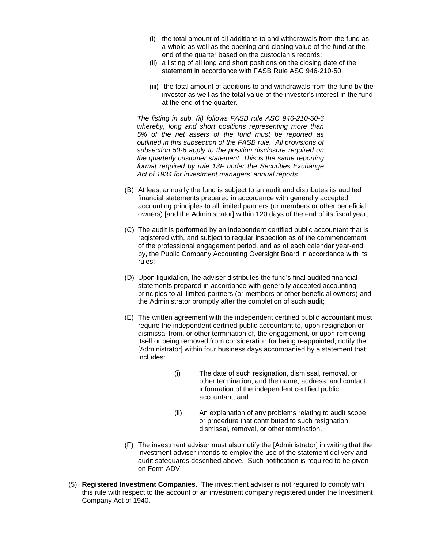- (i) the total amount of all additions to and withdrawals from the fund as a whole as well as the opening and closing value of the fund at the end of the quarter based on the custodian's records;
- (ii) a listing of all long and short positions on the closing date of the statement in accordance with FASB Rule ASC 946-210-50;
- (iii) the total amount of additions to and withdrawals from the fund by the investor as well as the total value of the investor's interest in the fund at the end of the quarter.

*The listing in sub. (ii) follows FASB rule ASC 946-210-50-6 whereby, long and short positions representing more than 5% of the net assets of the fund must be reported as outlined in this subsection of the FASB rule. All provisions of subsection 50-6 apply to the position disclosure required on the quarterly customer statement. This is the same reporting format required by rule 13F under the Securities Exchange Act of 1934 for investment managers' annual reports.* 

- (B) At least annually the fund is subject to an audit and distributes its audited financial statements prepared in accordance with generally accepted accounting principles to all limited partners (or members or other beneficial owners) [and the Administrator] within 120 days of the end of its fiscal year;
- (C) The audit is performed by an independent certified public accountant that is registered with, and subject to regular inspection as of the commencement of the professional engagement period, and as of each calendar year-end, by, the Public Company Accounting Oversight Board in accordance with its rules;
- (D) Upon liquidation, the adviser distributes the fund's final audited financial statements prepared in accordance with generally accepted accounting principles to all limited partners (or members or other beneficial owners) and the Administrator promptly after the completion of such audit;
- (E) The written agreement with the independent certified public accountant must require the independent certified public accountant to, upon resignation or dismissal from, or other termination of, the engagement, or upon removing itself or being removed from consideration for being reappointed, notify the [Administrator] within four business days accompanied by a statement that includes:
	- (i) The date of such resignation, dismissal, removal, or other termination, and the name, address, and contact information of the independent certified public accountant; and
	- (ii) An explanation of any problems relating to audit scope or procedure that contributed to such resignation, dismissal, removal, or other termination.
- (F) The investment adviser must also notify the [Administrator] in writing that the investment adviser intends to employ the use of the statement delivery and audit safeguards described above. Such notification is required to be given on Form ADV.
- (5) **Registered Investment Companies.** The investment adviser is not required to comply with this rule with respect to the account of an investment company registered under the Investment Company Act of 1940.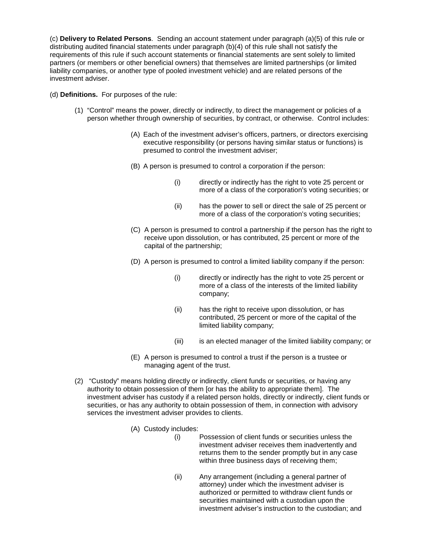(c) **Delivery to Related Persons**. Sending an account statement under paragraph (a)(5) of this rule or distributing audited financial statements under paragraph (b)(4) of this rule shall not satisfy the requirements of this rule if such account statements or financial statements are sent solely to limited partners (or members or other beneficial owners) that themselves are limited partnerships (or limited liability companies, or another type of pooled investment vehicle) and are related persons of the investment adviser.

### (d) **Definitions.** For purposes of the rule:

- (1) "Control" means the power, directly or indirectly, to direct the management or policies of a person whether through ownership of securities, by contract, or otherwise. Control includes:
	- (A) Each of the investment adviser's officers, partners, or directors exercising executive responsibility (or persons having similar status or functions) is presumed to control the investment adviser;
	- (B) A person is presumed to control a corporation if the person:
		- (i) directly or indirectly has the right to vote 25 percent or more of a class of the corporation's voting securities; or
		- (ii) has the power to sell or direct the sale of 25 percent or more of a class of the corporation's voting securities;
	- (C) A person is presumed to control a partnership if the person has the right to receive upon dissolution, or has contributed, 25 percent or more of the capital of the partnership;
	- (D) A person is presumed to control a limited liability company if the person:
		- (i) directly or indirectly has the right to vote 25 percent or more of a class of the interests of the limited liability company;
		- (ii) has the right to receive upon dissolution, or has contributed, 25 percent or more of the capital of the limited liability company;
		- (iii) is an elected manager of the limited liability company; or
	- (E) A person is presumed to control a trust if the person is a trustee or managing agent of the trust.
- (2) "Custody" means holding directly or indirectly, client funds or securities, or having any authority to obtain possession of them [or has the ability to appropriate them]. The investment adviser has custody if a related person holds, directly or indirectly, client funds or securities, or has any authority to obtain possession of them, in connection with advisory services the investment adviser provides to clients.
	- (A) Custody includes:
		- (i) Possession of client funds or securities unless the investment adviser receives them inadvertently and returns them to the sender promptly but in any case within three business days of receiving them;
		- (ii) Any arrangement (including a general partner of attorney) under which the investment adviser is authorized or permitted to withdraw client funds or securities maintained with a custodian upon the investment adviser's instruction to the custodian; and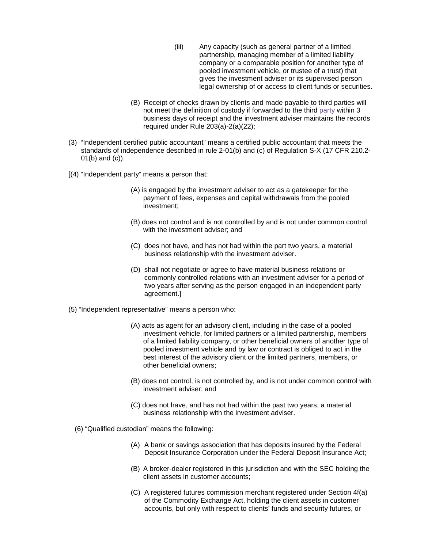- (iii) Any capacity (such as general partner of a limited partnership, managing member of a limited liability company or a comparable position for another type of pooled investment vehicle, or trustee of a trust) that gives the investment adviser or its supervised person legal ownership of or access to client funds or securities.
- (B) Receipt of checks drawn by clients and made payable to third parties will not meet the definition of custody if forwarded to the third party within 3 business days of receipt and the investment adviser maintains the records required under Rule 203(a)-2(a)(22);
- (3) "Independent certified public accountant" means a certified public accountant that meets the standards of independence described in rule 2-01(b) and (c) of Regulation S-X (17 CFR 210.2- 01(b) and (c)).
- [(4) "Independent party" means a person that:
	- (A) is engaged by the investment adviser to act as a gatekeeper for the payment of fees, expenses and capital withdrawals from the pooled investment;
	- (B) does not control and is not controlled by and is not under common control with the investment adviser; and
	- (C) does not have, and has not had within the part two years, a material business relationship with the investment adviser.
	- (D) shall not negotiate or agree to have material business relations or commonly controlled relations with an investment adviser for a period of two years after serving as the person engaged in an independent party agreement.]
- (5) "Independent representative" means a person who:
	- (A) acts as agent for an advisory client, including in the case of a pooled investment vehicle, for limited partners or a limited partnership, members of a limited liability company, or other beneficial owners of another type of pooled investment vehicle and by law or contract is obliged to act in the best interest of the advisory client or the limited partners, members, or other beneficial owners;
	- (B) does not control, is not controlled by, and is not under common control with investment adviser; and
	- (C) does not have, and has not had within the past two years, a material business relationship with the investment adviser.
	- (6) "Qualified custodian" means the following:
		- (A) A bank or savings association that has deposits insured by the Federal Deposit Insurance Corporation under the Federal Deposit Insurance Act;
		- (B) A broker-dealer registered in this jurisdiction and with the SEC holding the client assets in customer accounts;
		- (C) A registered futures commission merchant registered under Section 4f(a) of the Commodity Exchange Act, holding the client assets in customer accounts, but only with respect to clients' funds and security futures, or